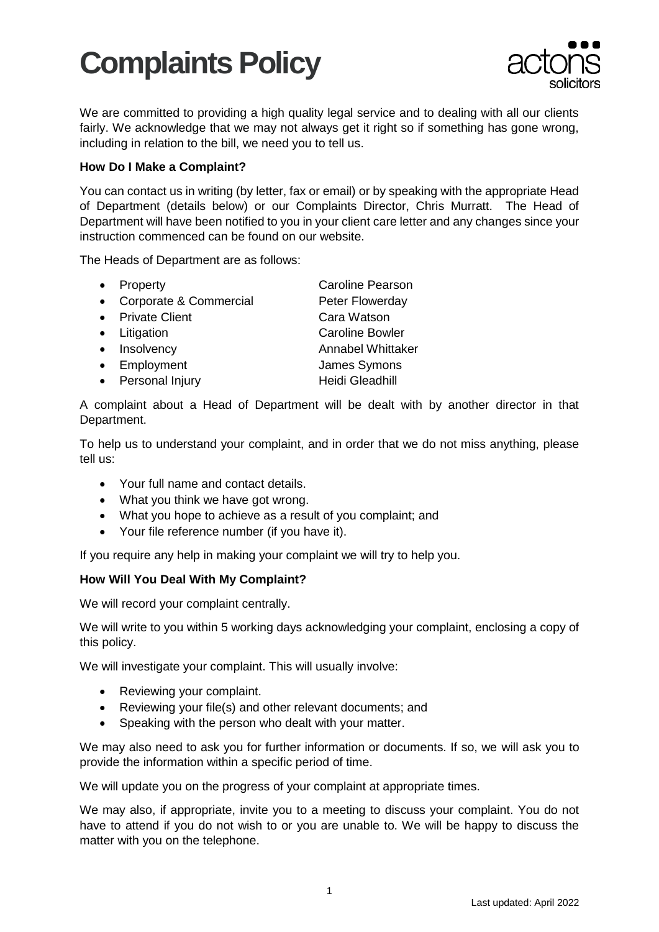## **Complaints Policy**



We are committed to providing a high quality legal service and to dealing with all our clients fairly. We acknowledge that we may not always get it right so if something has gone wrong. including in relation to the bill, we need you to tell us.

### **How Do I Make a Complaint?**

You can contact us in writing (by letter, fax or email) or by speaking with the appropriate Head of Department (details below) or our Complaints Director, Chris Murratt. The Head of Department will have been notified to you in your client care letter and any changes since your instruction commenced can be found on our website.

The Heads of Department are as follows:

- Property **Caroline Pearson**
- Corporate & Commercial Peter Flowerday
- Private Client Cara Watson
- 
- 
- 
- Personal Injury **Heidi Gleadhill**
- Litigation Caroline Bowler • Insolvency **Annabel Whittaker** • Employment James Symons

A complaint about a Head of Department will be dealt with by another director in that Department.

To help us to understand your complaint, and in order that we do not miss anything, please tell us:

- Your full name and contact details.
- What you think we have got wrong.
- What you hope to achieve as a result of you complaint; and
- Your file reference number (if you have it).

If you require any help in making your complaint we will try to help you.

## **How Will You Deal With My Complaint?**

We will record your complaint centrally.

We will write to you within 5 working days acknowledging your complaint, enclosing a copy of this policy.

We will investigate your complaint. This will usually involve:

- Reviewing your complaint.
- Reviewing your file(s) and other relevant documents; and
- Speaking with the person who dealt with your matter.

We may also need to ask you for further information or documents. If so, we will ask you to provide the information within a specific period of time.

We will update you on the progress of your complaint at appropriate times.

We may also, if appropriate, invite you to a meeting to discuss your complaint. You do not have to attend if you do not wish to or you are unable to. We will be happy to discuss the matter with you on the telephone.